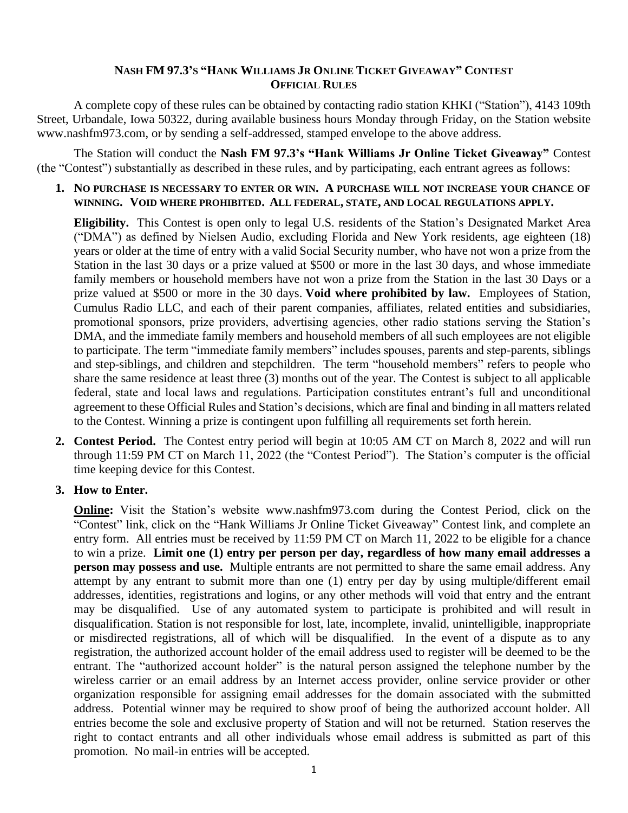## **NASH FM 97.3'S "HANK WILLIAMS JR ONLINE TICKET GIVEAWAY" CONTEST OFFICIAL RULES**

A complete copy of these rules can be obtained by contacting radio station KHKI ("Station"), 4143 109th Street, Urbandale, Iowa 50322, during available business hours Monday through Friday, on the Station website www.nashfm973.com, or by sending a self-addressed, stamped envelope to the above address.

The Station will conduct the **Nash FM 97.3's "Hank Williams Jr Online Ticket Giveaway"** Contest (the "Contest") substantially as described in these rules, and by participating, each entrant agrees as follows:

**1. NO PURCHASE IS NECESSARY TO ENTER OR WIN. A PURCHASE WILL NOT INCREASE YOUR CHANCE OF WINNING. VOID WHERE PROHIBITED. ALL FEDERAL, STATE, AND LOCAL REGULATIONS APPLY.**

**Eligibility.** This Contest is open only to legal U.S. residents of the Station's Designated Market Area ("DMA") as defined by Nielsen Audio, excluding Florida and New York residents, age eighteen (18) years or older at the time of entry with a valid Social Security number, who have not won a prize from the Station in the last 30 days or a prize valued at \$500 or more in the last 30 days, and whose immediate family members or household members have not won a prize from the Station in the last 30 Days or a prize valued at \$500 or more in the 30 days. **Void where prohibited by law.** Employees of Station, Cumulus Radio LLC, and each of their parent companies, affiliates, related entities and subsidiaries, promotional sponsors, prize providers, advertising agencies, other radio stations serving the Station's DMA, and the immediate family members and household members of all such employees are not eligible to participate. The term "immediate family members" includes spouses, parents and step-parents, siblings and step-siblings, and children and stepchildren. The term "household members" refers to people who share the same residence at least three (3) months out of the year. The Contest is subject to all applicable federal, state and local laws and regulations. Participation constitutes entrant's full and unconditional agreement to these Official Rules and Station's decisions, which are final and binding in all matters related to the Contest. Winning a prize is contingent upon fulfilling all requirements set forth herein.

- **2. Contest Period.** The Contest entry period will begin at 10:05 AM CT on March 8, 2022 and will run through 11:59 PM CT on March 11, 2022 (the "Contest Period"). The Station's computer is the official time keeping device for this Contest.
- **3. How to Enter.**

**Online:** Visit the Station's website www.nashfm973.com during the Contest Period, click on the "Contest" link, click on the "Hank Williams Jr Online Ticket Giveaway" Contest link, and complete an entry form. All entries must be received by 11:59 PM CT on March 11, 2022 to be eligible for a chance to win a prize. **Limit one (1) entry per person per day, regardless of how many email addresses a person may possess and use.** Multiple entrants are not permitted to share the same email address. Any attempt by any entrant to submit more than one (1) entry per day by using multiple/different email addresses, identities, registrations and logins, or any other methods will void that entry and the entrant may be disqualified. Use of any automated system to participate is prohibited and will result in disqualification. Station is not responsible for lost, late, incomplete, invalid, unintelligible, inappropriate or misdirected registrations, all of which will be disqualified. In the event of a dispute as to any registration, the authorized account holder of the email address used to register will be deemed to be the entrant. The "authorized account holder" is the natural person assigned the telephone number by the wireless carrier or an email address by an Internet access provider, online service provider or other organization responsible for assigning email addresses for the domain associated with the submitted address. Potential winner may be required to show proof of being the authorized account holder. All entries become the sole and exclusive property of Station and will not be returned. Station reserves the right to contact entrants and all other individuals whose email address is submitted as part of this promotion. No mail-in entries will be accepted.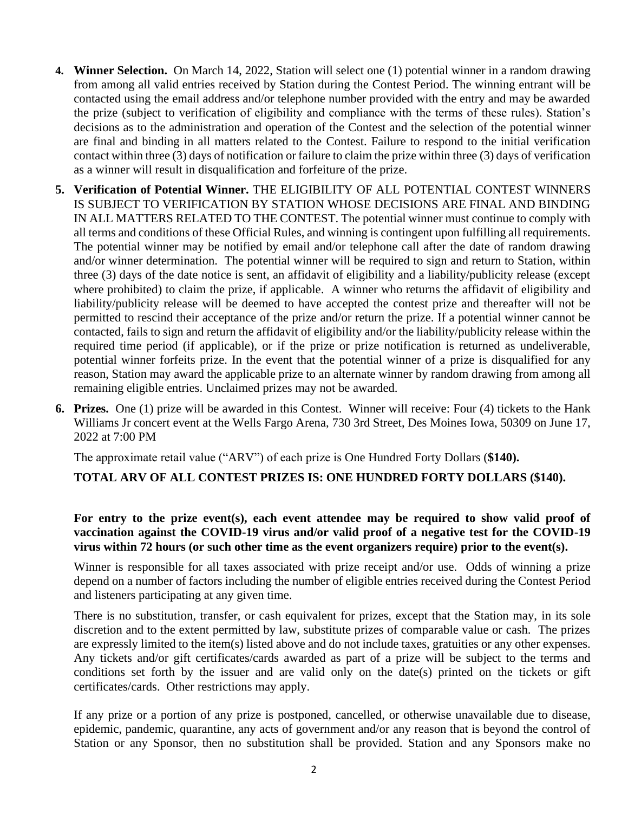- **4. Winner Selection.** On March 14, 2022, Station will select one (1) potential winner in a random drawing from among all valid entries received by Station during the Contest Period. The winning entrant will be contacted using the email address and/or telephone number provided with the entry and may be awarded the prize (subject to verification of eligibility and compliance with the terms of these rules). Station's decisions as to the administration and operation of the Contest and the selection of the potential winner are final and binding in all matters related to the Contest. Failure to respond to the initial verification contact within three (3) days of notification or failure to claim the prize within three (3) days of verification as a winner will result in disqualification and forfeiture of the prize.
- **5. Verification of Potential Winner.** THE ELIGIBILITY OF ALL POTENTIAL CONTEST WINNERS IS SUBJECT TO VERIFICATION BY STATION WHOSE DECISIONS ARE FINAL AND BINDING IN ALL MATTERS RELATED TO THE CONTEST. The potential winner must continue to comply with all terms and conditions of these Official Rules, and winning is contingent upon fulfilling all requirements. The potential winner may be notified by email and/or telephone call after the date of random drawing and/or winner determination. The potential winner will be required to sign and return to Station, within three (3) days of the date notice is sent, an affidavit of eligibility and a liability/publicity release (except where prohibited) to claim the prize, if applicable. A winner who returns the affidavit of eligibility and liability/publicity release will be deemed to have accepted the contest prize and thereafter will not be permitted to rescind their acceptance of the prize and/or return the prize. If a potential winner cannot be contacted, fails to sign and return the affidavit of eligibility and/or the liability/publicity release within the required time period (if applicable), or if the prize or prize notification is returned as undeliverable, potential winner forfeits prize. In the event that the potential winner of a prize is disqualified for any reason, Station may award the applicable prize to an alternate winner by random drawing from among all remaining eligible entries. Unclaimed prizes may not be awarded.
- **6. Prizes.** One (1) prize will be awarded in this Contest. Winner will receive: Four (4) tickets to the Hank Williams Jr concert event at the Wells Fargo Arena, 730 3rd Street, Des Moines Iowa, 50309 on June 17, 2022 at 7:00 PM

The approximate retail value ("ARV") of each prize is One Hundred Forty Dollars (**\$140).** 

## **TOTAL ARV OF ALL CONTEST PRIZES IS: ONE HUNDRED FORTY DOLLARS (\$140).**

## **For entry to the prize event(s), each event attendee may be required to show valid proof of vaccination against the COVID-19 virus and/or valid proof of a negative test for the COVID-19 virus within 72 hours (or such other time as the event organizers require) prior to the event(s).**

Winner is responsible for all taxes associated with prize receipt and/or use. Odds of winning a prize depend on a number of factors including the number of eligible entries received during the Contest Period and listeners participating at any given time.

There is no substitution, transfer, or cash equivalent for prizes, except that the Station may, in its sole discretion and to the extent permitted by law, substitute prizes of comparable value or cash. The prizes are expressly limited to the item(s) listed above and do not include taxes, gratuities or any other expenses. Any tickets and/or gift certificates/cards awarded as part of a prize will be subject to the terms and conditions set forth by the issuer and are valid only on the date(s) printed on the tickets or gift certificates/cards. Other restrictions may apply.

If any prize or a portion of any prize is postponed, cancelled, or otherwise unavailable due to disease, epidemic, pandemic, quarantine, any acts of government and/or any reason that is beyond the control of Station or any Sponsor, then no substitution shall be provided. Station and any Sponsors make no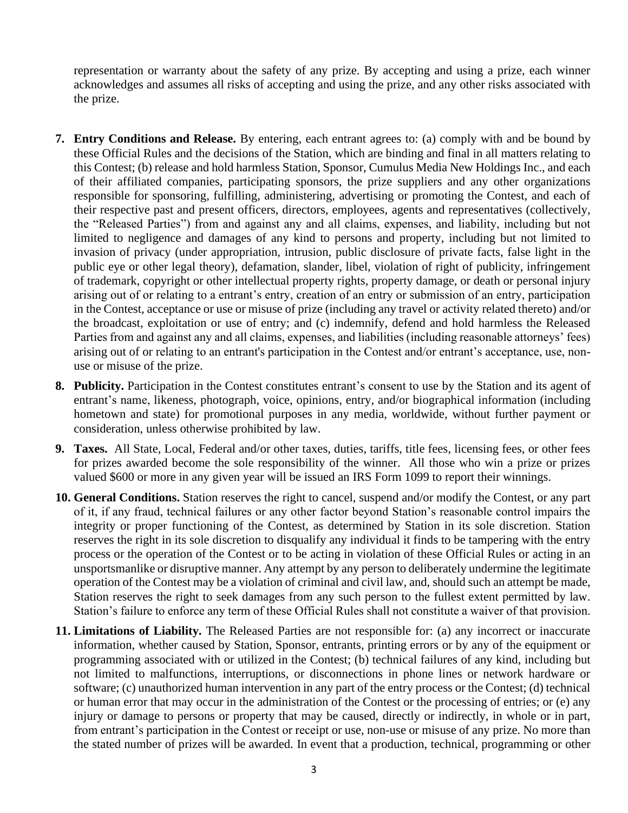representation or warranty about the safety of any prize. By accepting and using a prize, each winner acknowledges and assumes all risks of accepting and using the prize, and any other risks associated with the prize.

- **7. Entry Conditions and Release.** By entering, each entrant agrees to: (a) comply with and be bound by these Official Rules and the decisions of the Station, which are binding and final in all matters relating to this Contest; (b) release and hold harmless Station, Sponsor, Cumulus Media New Holdings Inc., and each of their affiliated companies, participating sponsors, the prize suppliers and any other organizations responsible for sponsoring, fulfilling, administering, advertising or promoting the Contest, and each of their respective past and present officers, directors, employees, agents and representatives (collectively, the "Released Parties") from and against any and all claims, expenses, and liability, including but not limited to negligence and damages of any kind to persons and property, including but not limited to invasion of privacy (under appropriation, intrusion, public disclosure of private facts, false light in the public eye or other legal theory), defamation, slander, libel, violation of right of publicity, infringement of trademark, copyright or other intellectual property rights, property damage, or death or personal injury arising out of or relating to a entrant's entry, creation of an entry or submission of an entry, participation in the Contest, acceptance or use or misuse of prize (including any travel or activity related thereto) and/or the broadcast, exploitation or use of entry; and (c) indemnify, defend and hold harmless the Released Parties from and against any and all claims, expenses, and liabilities (including reasonable attorneys' fees) arising out of or relating to an entrant's participation in the Contest and/or entrant's acceptance, use, nonuse or misuse of the prize.
- **8. Publicity.** Participation in the Contest constitutes entrant's consent to use by the Station and its agent of entrant's name, likeness, photograph, voice, opinions, entry, and/or biographical information (including hometown and state) for promotional purposes in any media, worldwide, without further payment or consideration, unless otherwise prohibited by law.
- **9. Taxes.** All State, Local, Federal and/or other taxes, duties, tariffs, title fees, licensing fees, or other fees for prizes awarded become the sole responsibility of the winner. All those who win a prize or prizes valued \$600 or more in any given year will be issued an IRS Form 1099 to report their winnings.
- **10. General Conditions.** Station reserves the right to cancel, suspend and/or modify the Contest, or any part of it, if any fraud, technical failures or any other factor beyond Station's reasonable control impairs the integrity or proper functioning of the Contest, as determined by Station in its sole discretion. Station reserves the right in its sole discretion to disqualify any individual it finds to be tampering with the entry process or the operation of the Contest or to be acting in violation of these Official Rules or acting in an unsportsmanlike or disruptive manner. Any attempt by any person to deliberately undermine the legitimate operation of the Contest may be a violation of criminal and civil law, and, should such an attempt be made, Station reserves the right to seek damages from any such person to the fullest extent permitted by law. Station's failure to enforce any term of these Official Rules shall not constitute a waiver of that provision.
- **11. Limitations of Liability.** The Released Parties are not responsible for: (a) any incorrect or inaccurate information, whether caused by Station, Sponsor, entrants, printing errors or by any of the equipment or programming associated with or utilized in the Contest; (b) technical failures of any kind, including but not limited to malfunctions, interruptions, or disconnections in phone lines or network hardware or software; (c) unauthorized human intervention in any part of the entry process or the Contest; (d) technical or human error that may occur in the administration of the Contest or the processing of entries; or (e) any injury or damage to persons or property that may be caused, directly or indirectly, in whole or in part, from entrant's participation in the Contest or receipt or use, non-use or misuse of any prize. No more than the stated number of prizes will be awarded. In event that a production, technical, programming or other